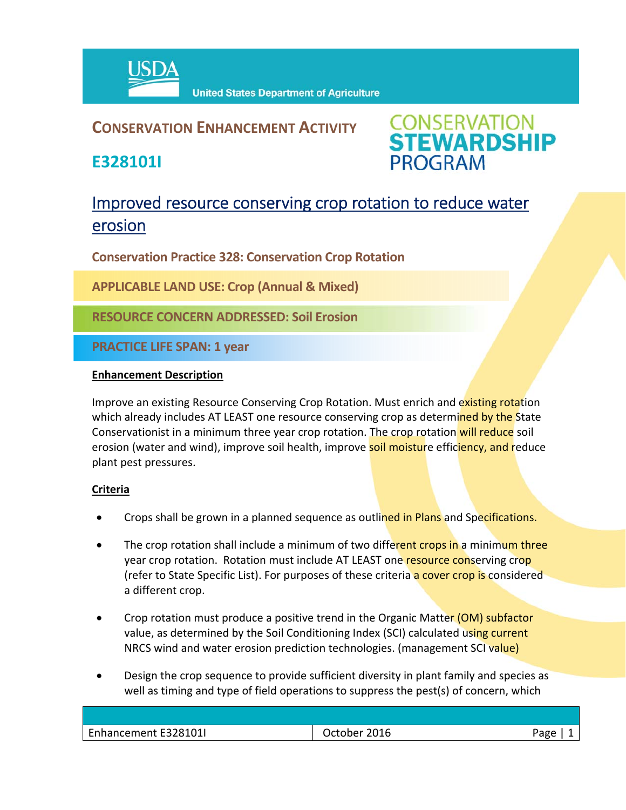

## **CONSERVATION ENHANCEMENT ACTIVITY**

**E328101I**

**CONSERVATION<br>STEWARDSHIP PROGRAM** 

# Improved resource conserving crop rotation to reduce water erosion

**Conservation Practice 328: Conservation Crop Rotation**

**APPLICABLE LAND USE: Crop (Annual & Mixed)**

**RESOURCE CONCERN ADDRESSED: Soil Erosion**

**PRACTICE LIFE SPAN: 1 year**

#### **Enhancement Description**

Improve an existing Resource Conserving Crop Rotation. Must enrich and existing rotation which already includes AT LEAST one resource conserving crop as determined by the State Conservationist in a minimum three year crop rotation. The crop rotation will reduce soil erosion (water and wind), improve soil health, improve soil moisture efficiency, and reduce plant pest pressures.

### **Criteria**

- Crops shall be grown in a planned sequence as outlined in Plans and Specifications.
- The crop rotation shall include a minimum of two different crops in a minimum three year crop rotation. Rotation must include AT LEAST one resource conserving crop (refer to State Specific List). For purposes of these criteria a cover crop is considered a different crop.
- Crop rotation must produce a positive trend in the Organic Matter (OM) subfactor value, as determined by the Soil Conditioning Index (SCI) calculated using current NRCS wind and water erosion prediction technologies. (management SCI value)
- Design the crop sequence to provide sufficient diversity in plant family and species as well as timing and type of field operations to suppress the pest(s) of concern, which

| Enhancement E328101I | 2016<br>)rtoher | ∩מר |
|----------------------|-----------------|-----|
|                      |                 |     |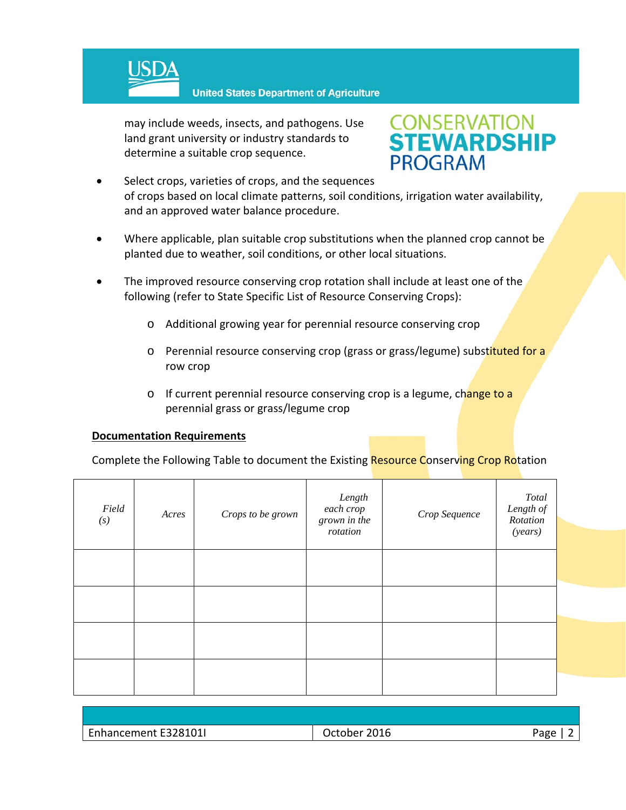

**United States Department of Agriculture** 

may include weeds, insects, and pathogens. Use land grant university or industry standards to determine a suitable crop sequence.



- Select crops, varieties of crops, and the sequences of crops based on local climate patterns, soil conditions, irrigation water availability, and an approved water balance procedure.
- Where applicable, plan suitable crop substitutions when the planned crop cannot be planted due to weather, soil conditions, or other local situations.
- The improved resource conserving crop rotation shall include at least one of the following (refer to State Specific List of Resource Conserving Crops):
	- o Additional growing year for perennial resource conserving crop
	- o Perennial resource conserving crop (grass or grass/legume) substituted for a row crop
	- o If current perennial resource conserving crop is a legume, change to a perennial grass or grass/legume crop

#### **Documentation Requirements**

Complete the Following Table to document the Existing Resource Conserving Crop Rotation

| Field<br>(s) | Acres | Crops to be grown | Length<br>$\emph{each crop}$<br>grown in the<br>rotation | Crop Sequence | Total<br>Length of<br>Rotation<br>(years) |  |
|--------------|-------|-------------------|----------------------------------------------------------|---------------|-------------------------------------------|--|
|              |       |                   |                                                          |               |                                           |  |
|              |       |                   |                                                          |               |                                           |  |
|              |       |                   |                                                          |               |                                           |  |
|              |       |                   |                                                          |               |                                           |  |

| Enhancement E328101I | $-1$<br>Jctober .<br>ZUI b | Aapp<br>ືອ∽ |
|----------------------|----------------------------|-------------|